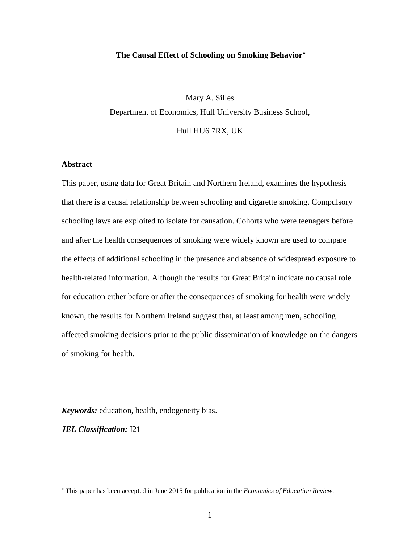## **The Causal Effect of Schooling on Smoking Behavior**[∗](#page-0-0)

Mary A. Silles Department of Economics, Hull University Business School,

Hull HU6 7RX, UK

# **Abstract**

This paper, using data for Great Britain and Northern Ireland, examines the hypothesis that there is a causal relationship between schooling and cigarette smoking. Compulsory schooling laws are exploited to isolate for causation. Cohorts who were teenagers before and after the health consequences of smoking were widely known are used to compare the effects of additional schooling in the presence and absence of widespread exposure to health-related information. Although the results for Great Britain indicate no causal role for education either before or after the consequences of smoking for health were widely known, the results for Northern Ireland suggest that, at least among men, schooling affected smoking decisions prior to the public dissemination of knowledge on the dangers of smoking for health.

*Keywords:* education, health, endogeneity bias.

*JEL Classification:* I21

<span id="page-0-0"></span><sup>∗</sup> This paper has been accepted in June 2015 for publication in the *Economics of Education Review*.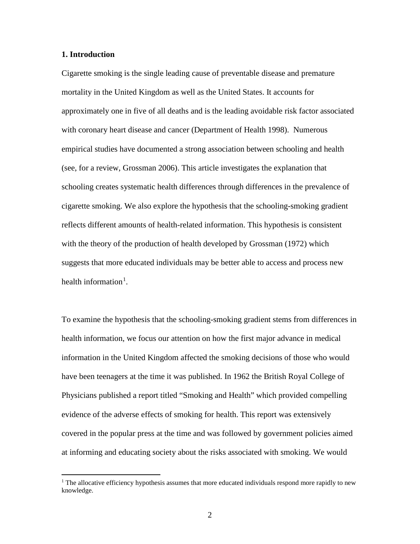## **1. Introduction**

 $\overline{a}$ 

Cigarette smoking is the single leading cause of preventable disease and premature mortality in the United Kingdom as well as the United States. It accounts for approximately one in five of all deaths and is the leading avoidable risk factor associated with coronary heart disease and cancer (Department of Health 1998). Numerous empirical studies have documented a strong association between schooling and health (see, for a review, Grossman 2006). This article investigates the explanation that schooling creates systematic health differences through differences in the prevalence of cigarette smoking. We also explore the hypothesis that the schooling-smoking gradient reflects different amounts of health-related information. This hypothesis is consistent with the theory of the production of health developed by Grossman (1972) which suggests that more educated individuals may be better able to access and process new health information<sup>[1](#page-1-0)</sup>.

To examine the hypothesis that the schooling-smoking gradient stems from differences in health information, we focus our attention on how the first major advance in medical information in the United Kingdom affected the smoking decisions of those who would have been teenagers at the time it was published. In 1962 the British Royal College of Physicians published a report titled "Smoking and Health" which provided compelling evidence of the adverse effects of smoking for health. This report was extensively covered in the popular press at the time and was followed by government policies aimed at informing and educating society about the risks associated with smoking. We would

<span id="page-1-0"></span> $1$  The allocative efficiency hypothesis assumes that more educated individuals respond more rapidly to new knowledge.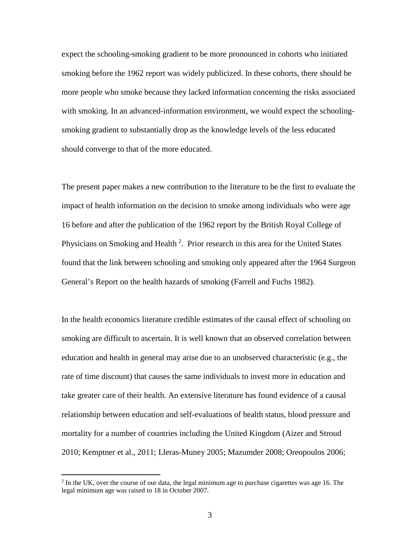expect the schooling-smoking gradient to be more pronounced in cohorts who initiated smoking before the 1962 report was widely publicized. In these cohorts, there should be more people who smoke because they lacked information concerning the risks associated with smoking. In an advanced-information environment, we would expect the schoolingsmoking gradient to substantially drop as the knowledge levels of the less educated should converge to that of the more educated.

The present paper makes a new contribution to the literature to be the first to evaluate the impact of health information on the decision to smoke among individuals who were age 16 before and after the publication of the 1962 report by the British Royal College of Physicians on Smoking and Health<sup>[2](#page-2-0)</sup>. Prior research in this area for the United States found that the link between schooling and smoking only appeared after the 1964 Surgeon General's Report on the health hazards of smoking (Farrell and Fuchs 1982).

In the health economics literature credible estimates of the causal effect of schooling on smoking are difficult to ascertain. It is well known that an observed correlation between education and health in general may arise due to an unobserved characteristic (e.g., the rate of time discount) that causes the same individuals to invest more in education and take greater care of their health. An extensive literature has found evidence of a causal relationship between education and self-evaluations of health status, blood pressure and mortality for a number of countries including the United Kingdom (Aizer and Stroud 2010; Kemptner et al., 2011; Lleras-Muney 2005; Mazumder 2008; Oreopoulos 2006;

 $\overline{a}$ 

<span id="page-2-0"></span> $<sup>2</sup>$  In the UK, over the course of our data, the legal minimum age to purchase cigarettes was age 16. The</sup> legal minimum age was raised to 18 in October 2007.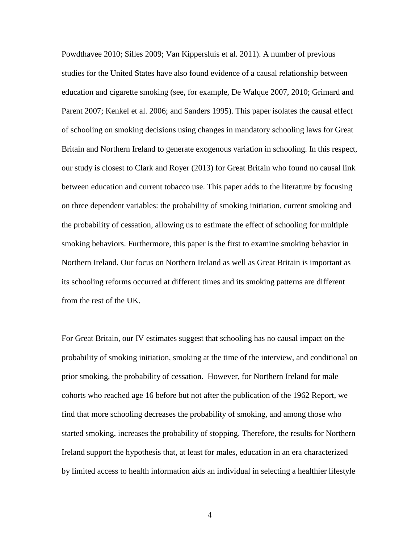Powdthavee 2010; Silles 2009; Van Kippersluis et al. 2011). A number of previous studies for the United States have also found evidence of a causal relationship between education and cigarette smoking (see, for example, De Walque 2007, 2010; Grimard and Parent 2007; Kenkel et al. 2006; and Sanders 1995). This paper isolates the causal effect of schooling on smoking decisions using changes in mandatory schooling laws for Great Britain and Northern Ireland to generate exogenous variation in schooling. In this respect, our study is closest to Clark and Royer (2013) for Great Britain who found no causal link between education and current tobacco use. This paper adds to the literature by focusing on three dependent variables: the probability of smoking initiation, current smoking and the probability of cessation, allowing us to estimate the effect of schooling for multiple smoking behaviors. Furthermore, this paper is the first to examine smoking behavior in Northern Ireland. Our focus on Northern Ireland as well as Great Britain is important as its schooling reforms occurred at different times and its smoking patterns are different from the rest of the UK.

For Great Britain, our IV estimates suggest that schooling has no causal impact on the probability of smoking initiation, smoking at the time of the interview, and conditional on prior smoking, the probability of cessation. However, for Northern Ireland for male cohorts who reached age 16 before but not after the publication of the 1962 Report, we find that more schooling decreases the probability of smoking, and among those who started smoking, increases the probability of stopping. Therefore, the results for Northern Ireland support the hypothesis that, at least for males, education in an era characterized by limited access to health information aids an individual in selecting a healthier lifestyle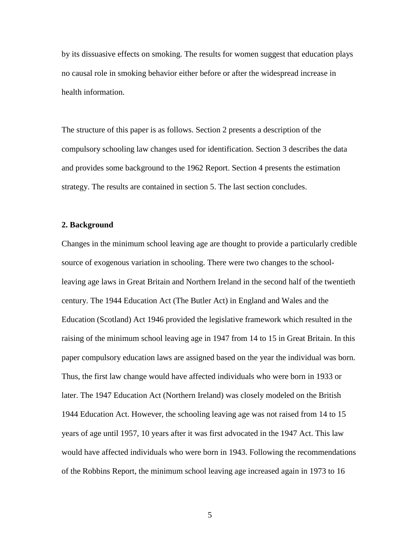by its dissuasive effects on smoking. The results for women suggest that education plays no causal role in smoking behavior either before or after the widespread increase in health information.

The structure of this paper is as follows. Section 2 presents a description of the compulsory schooling law changes used for identification. Section 3 describes the data and provides some background to the 1962 Report. Section 4 presents the estimation strategy. The results are contained in section 5. The last section concludes.

## **2. Background**

Changes in the minimum school leaving age are thought to provide a particularly credible source of exogenous variation in schooling. There were two changes to the schoolleaving age laws in Great Britain and Northern Ireland in the second half of the twentieth century. The 1944 Education Act (The Butler Act) in England and Wales and the Education (Scotland) Act 1946 provided the legislative framework which resulted in the raising of the minimum school leaving age in 1947 from 14 to 15 in Great Britain. In this paper compulsory education laws are assigned based on the year the individual was born. Thus, the first law change would have affected individuals who were born in 1933 or later. The 1947 Education Act (Northern Ireland) was closely modeled on the British 1944 Education Act. However, the schooling leaving age was not raised from 14 to 15 years of age until 1957, 10 years after it was first advocated in the 1947 Act. This law would have affected individuals who were born in 1943. Following the recommendations of the Robbins Report, the minimum school leaving age increased again in 1973 to 16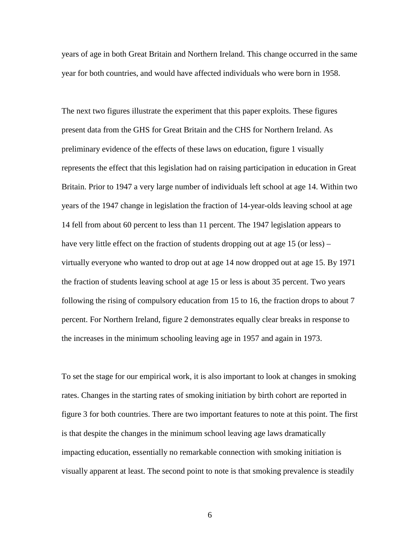years of age in both Great Britain and Northern Ireland. This change occurred in the same year for both countries, and would have affected individuals who were born in 1958.

The next two figures illustrate the experiment that this paper exploits. These figures present data from the GHS for Great Britain and the CHS for Northern Ireland. As preliminary evidence of the effects of these laws on education, figure 1 visually represents the effect that this legislation had on raising participation in education in Great Britain. Prior to 1947 a very large number of individuals left school at age 14. Within two years of the 1947 change in legislation the fraction of 14-year-olds leaving school at age 14 fell from about 60 percent to less than 11 percent. The 1947 legislation appears to have very little effect on the fraction of students dropping out at age 15 (or less) – virtually everyone who wanted to drop out at age 14 now dropped out at age 15. By 1971 the fraction of students leaving school at age 15 or less is about 35 percent. Two years following the rising of compulsory education from 15 to 16, the fraction drops to about 7 percent. For Northern Ireland, figure 2 demonstrates equally clear breaks in response to the increases in the minimum schooling leaving age in 1957 and again in 1973.

To set the stage for our empirical work, it is also important to look at changes in smoking rates. Changes in the starting rates of smoking initiation by birth cohort are reported in figure 3 for both countries. There are two important features to note at this point. The first is that despite the changes in the minimum school leaving age laws dramatically impacting education, essentially no remarkable connection with smoking initiation is visually apparent at least. The second point to note is that smoking prevalence is steadily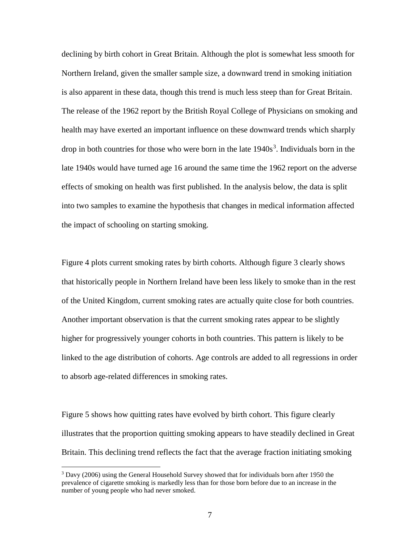declining by birth cohort in Great Britain. Although the plot is somewhat less smooth for Northern Ireland, given the smaller sample size, a downward trend in smoking initiation is also apparent in these data, though this trend is much less steep than for Great Britain. The release of the 1962 report by the British Royal College of Physicians on smoking and health may have exerted an important influence on these downward trends which sharply drop in both countries for those who were born in the late  $1940s<sup>3</sup>$  $1940s<sup>3</sup>$  $1940s<sup>3</sup>$ . Individuals born in the late 1940s would have turned age 16 around the same time the 1962 report on the adverse effects of smoking on health was first published. In the analysis below, the data is split into two samples to examine the hypothesis that changes in medical information affected the impact of schooling on starting smoking.

Figure 4 plots current smoking rates by birth cohorts. Although figure 3 clearly shows that historically people in Northern Ireland have been less likely to smoke than in the rest of the United Kingdom, current smoking rates are actually quite close for both countries. Another important observation is that the current smoking rates appear to be slightly higher for progressively younger cohorts in both countries. This pattern is likely to be linked to the age distribution of cohorts. Age controls are added to all regressions in order to absorb age-related differences in smoking rates.

Figure 5 shows how quitting rates have evolved by birth cohort. This figure clearly illustrates that the proportion quitting smoking appears to have steadily declined in Great Britain. This declining trend reflects the fact that the average fraction initiating smoking

 $\overline{a}$ 

<span id="page-6-0"></span> $3$  Davy (2006) using the General Household Survey showed that for individuals born after 1950 the prevalence of cigarette smoking is markedly less than for those born before due to an increase in the number of young people who had never smoked.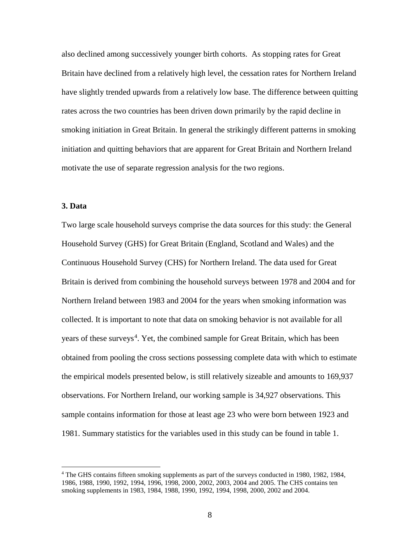also declined among successively younger birth cohorts. As stopping rates for Great Britain have declined from a relatively high level, the cessation rates for Northern Ireland have slightly trended upwards from a relatively low base. The difference between quitting rates across the two countries has been driven down primarily by the rapid decline in smoking initiation in Great Britain. In general the strikingly different patterns in smoking initiation and quitting behaviors that are apparent for Great Britain and Northern Ireland motivate the use of separate regression analysis for the two regions.

## **3. Data**

 $\overline{a}$ 

Two large scale household surveys comprise the data sources for this study: the General Household Survey (GHS) for Great Britain (England, Scotland and Wales) and the Continuous Household Survey (CHS) for Northern Ireland. The data used for Great Britain is derived from combining the household surveys between 1978 and 2004 and for Northern Ireland between 1983 and 2004 for the years when smoking information was collected. It is important to note that data on smoking behavior is not available for all years of these surveys<sup>[4](#page-7-0)</sup>. Yet, the combined sample for Great Britain, which has been obtained from pooling the cross sections possessing complete data with which to estimate the empirical models presented below, is still relatively sizeable and amounts to 169,937 observations. For Northern Ireland, our working sample is 34,927 observations. This sample contains information for those at least age 23 who were born between 1923 and 1981. Summary statistics for the variables used in this study can be found in table 1.

<span id="page-7-0"></span><sup>4</sup> The GHS contains fifteen smoking supplements as part of the surveys conducted in 1980, 1982, 1984, 1986, 1988, 1990, 1992, 1994, 1996, 1998, 2000, 2002, 2003, 2004 and 2005. The CHS contains ten smoking supplements in 1983, 1984, 1988, 1990, 1992, 1994, 1998, 2000, 2002 and 2004.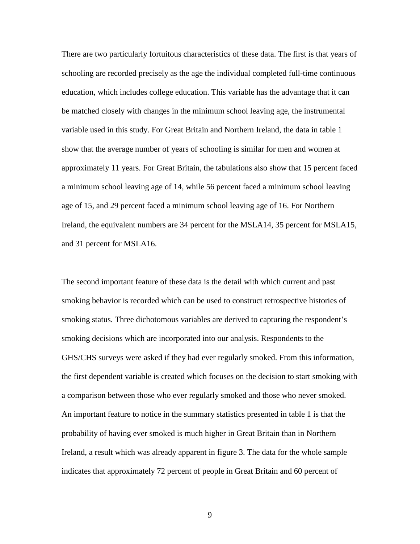There are two particularly fortuitous characteristics of these data. The first is that years of schooling are recorded precisely as the age the individual completed full-time continuous education, which includes college education. This variable has the advantage that it can be matched closely with changes in the minimum school leaving age, the instrumental variable used in this study. For Great Britain and Northern Ireland, the data in table 1 show that the average number of years of schooling is similar for men and women at approximately 11 years. For Great Britain, the tabulations also show that 15 percent faced a minimum school leaving age of 14, while 56 percent faced a minimum school leaving age of 15, and 29 percent faced a minimum school leaving age of 16. For Northern Ireland, the equivalent numbers are 34 percent for the MSLA14, 35 percent for MSLA15, and 31 percent for MSLA16.

The second important feature of these data is the detail with which current and past smoking behavior is recorded which can be used to construct retrospective histories of smoking status. Three dichotomous variables are derived to capturing the respondent's smoking decisions which are incorporated into our analysis. Respondents to the GHS/CHS surveys were asked if they had ever regularly smoked. From this information, the first dependent variable is created which focuses on the decision to start smoking with a comparison between those who ever regularly smoked and those who never smoked. An important feature to notice in the summary statistics presented in table 1 is that the probability of having ever smoked is much higher in Great Britain than in Northern Ireland, a result which was already apparent in figure 3. The data for the whole sample indicates that approximately 72 percent of people in Great Britain and 60 percent of

9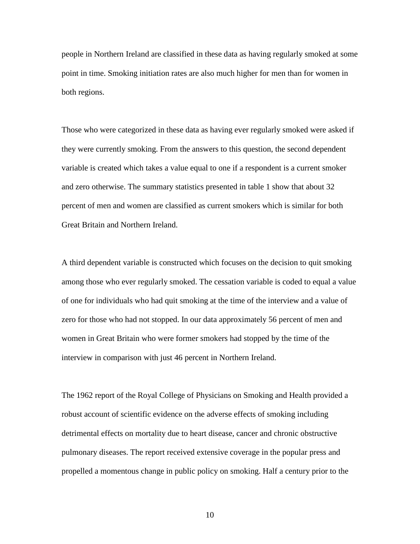people in Northern Ireland are classified in these data as having regularly smoked at some point in time. Smoking initiation rates are also much higher for men than for women in both regions.

Those who were categorized in these data as having ever regularly smoked were asked if they were currently smoking. From the answers to this question, the second dependent variable is created which takes a value equal to one if a respondent is a current smoker and zero otherwise. The summary statistics presented in table 1 show that about 32 percent of men and women are classified as current smokers which is similar for both Great Britain and Northern Ireland.

A third dependent variable is constructed which focuses on the decision to quit smoking among those who ever regularly smoked. The cessation variable is coded to equal a value of one for individuals who had quit smoking at the time of the interview and a value of zero for those who had not stopped. In our data approximately 56 percent of men and women in Great Britain who were former smokers had stopped by the time of the interview in comparison with just 46 percent in Northern Ireland.

The 1962 report of the Royal College of Physicians on Smoking and Health provided a robust account of scientific evidence on the adverse effects of smoking including detrimental effects on mortality due to heart disease, cancer and chronic obstructive pulmonary diseases. The report received extensive coverage in the popular press and propelled a momentous change in public policy on smoking. Half a century prior to the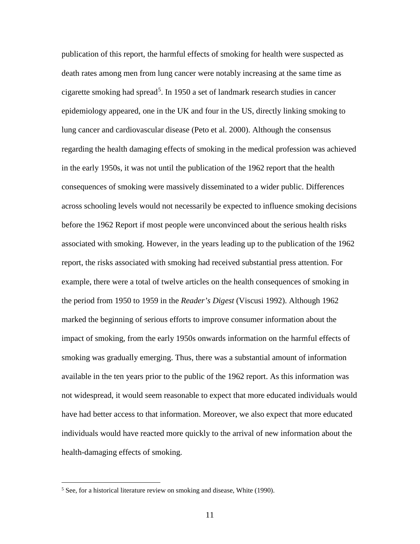publication of this report, the harmful effects of smoking for health were suspected as death rates among men from lung cancer were notably increasing at the same time as cigarette smoking had spread<sup>[5](#page-10-0)</sup>. In 1950 a set of landmark research studies in cancer epidemiology appeared, one in the UK and four in the US, directly linking smoking to lung cancer and cardiovascular disease (Peto et al. 2000). Although the consensus regarding the health damaging effects of smoking in the medical profession was achieved in the early 1950s, it was not until the publication of the 1962 report that the health consequences of smoking were massively disseminated to a wider public. Differences across schooling levels would not necessarily be expected to influence smoking decisions before the 1962 Report if most people were unconvinced about the serious health risks associated with smoking. However, in the years leading up to the publication of the 1962 report, the risks associated with smoking had received substantial press attention. For example, there were a total of twelve articles on the health consequences of smoking in the period from 1950 to 1959 in the *Reader's Digest* (Viscusi 1992). Although 1962 marked the beginning of serious efforts to improve consumer information about the impact of smoking, from the early 1950s onwards information on the harmful effects of smoking was gradually emerging. Thus, there was a substantial amount of information available in the ten years prior to the public of the 1962 report. As this information was not widespread, it would seem reasonable to expect that more educated individuals would have had better access to that information. Moreover, we also expect that more educated individuals would have reacted more quickly to the arrival of new information about the health-damaging effects of smoking.

 $\overline{a}$ 

<span id="page-10-0"></span><sup>&</sup>lt;sup>5</sup> See, for a historical literature review on smoking and disease, White (1990).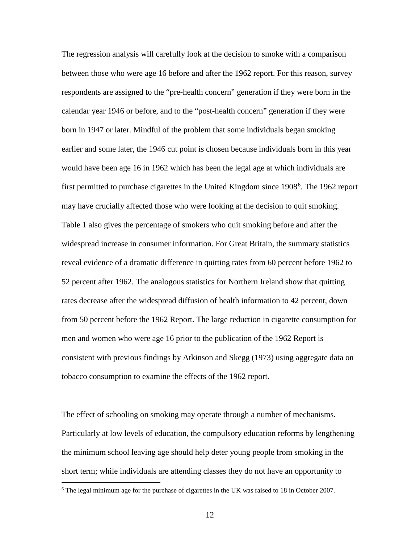The regression analysis will carefully look at the decision to smoke with a comparison between those who were age 16 before and after the 1962 report. For this reason, survey respondents are assigned to the "pre-health concern" generation if they were born in the calendar year 1946 or before, and to the "post-health concern" generation if they were born in 1947 or later. Mindful of the problem that some individuals began smoking earlier and some later, the 1946 cut point is chosen because individuals born in this year would have been age 16 in 1962 which has been the legal age at which individuals are first permitted to purchase cigarettes in the United Kingdom since 1908<sup>[6](#page-11-0)</sup>. The 1962 report may have crucially affected those who were looking at the decision to quit smoking. Table 1 also gives the percentage of smokers who quit smoking before and after the widespread increase in consumer information. For Great Britain, the summary statistics reveal evidence of a dramatic difference in quitting rates from 60 percent before 1962 to 52 percent after 1962. The analogous statistics for Northern Ireland show that quitting rates decrease after the widespread diffusion of health information to 42 percent, down from 50 percent before the 1962 Report. The large reduction in cigarette consumption for men and women who were age 16 prior to the publication of the 1962 Report is consistent with previous findings by Atkinson and Skegg (1973) using aggregate data on tobacco consumption to examine the effects of the 1962 report.

The effect of schooling on smoking may operate through a number of mechanisms. Particularly at low levels of education, the compulsory education reforms by lengthening the minimum school leaving age should help deter young people from smoking in the short term; while individuals are attending classes they do not have an opportunity to

 $\overline{a}$ 

<span id="page-11-0"></span><sup>6</sup> The legal minimum age for the purchase of cigarettes in the UK was raised to 18 in October 2007.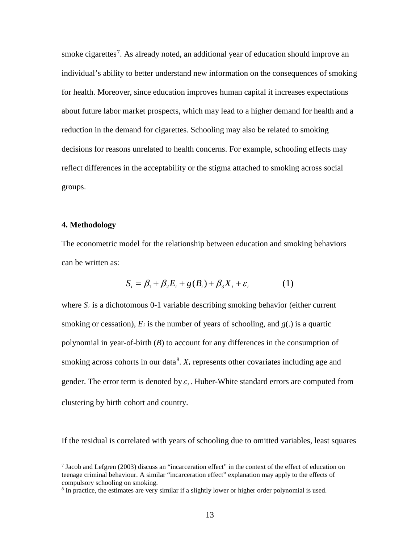smoke cigarettes<sup>[7](#page-12-0)</sup>. As already noted, an additional year of education should improve an individual's ability to better understand new information on the consequences of smoking for health. Moreover, since education improves human capital it increases expectations about future labor market prospects, which may lead to a higher demand for health and a reduction in the demand for cigarettes. Schooling may also be related to smoking decisions for reasons unrelated to health concerns. For example, schooling effects may reflect differences in the acceptability or the stigma attached to smoking across social groups.

#### **4. Methodology**

 $\overline{a}$ 

The econometric model for the relationship between education and smoking behaviors can be written as:

$$
S_i = \beta_1 + \beta_2 E_i + g(B_i) + \beta_3 X_i + \varepsilon_i \tag{1}
$$

where  $S_i$  is a dichotomous 0-1 variable describing smoking behavior (either current smoking or cessation),  $E_i$  is the number of years of schooling, and  $g(.)$  is a quartic polynomial in year-of-birth (*B*) to account for any differences in the consumption of smoking across cohorts in our data<sup>[8](#page-12-1)</sup>.  $X_i$  represents other covariates including age and gender. The error term is denoted by  $\varepsilon_i$ . Huber-White standard errors are computed from clustering by birth cohort and country.

If the residual is correlated with years of schooling due to omitted variables, least squares

<span id="page-12-0"></span> $<sup>7</sup>$  Jacob and Lefgren (2003) discuss an "incarceration effect" in the context of the effect of education on</sup> teenage criminal behaviour. A similar "incarceration effect" explanation may apply to the effects of compulsory schooling on smoking.

<span id="page-12-1"></span><sup>&</sup>lt;sup>8</sup> In practice, the estimates are very similar if a slightly lower or higher order polynomial is used.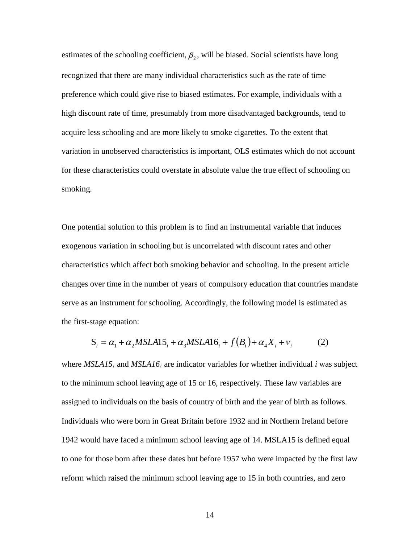estimates of the schooling coefficient,  $\beta_2$ , will be biased. Social scientists have long recognized that there are many individual characteristics such as the rate of time preference which could give rise to biased estimates. For example, individuals with a high discount rate of time, presumably from more disadvantaged backgrounds, tend to acquire less schooling and are more likely to smoke cigarettes. To the extent that variation in unobserved characteristics is important, OLS estimates which do not account for these characteristics could overstate in absolute value the true effect of schooling on smoking.

One potential solution to this problem is to find an instrumental variable that induces exogenous variation in schooling but is uncorrelated with discount rates and other characteristics which affect both smoking behavior and schooling. In the present article changes over time in the number of years of compulsory education that countries mandate serve as an instrument for schooling. Accordingly, the following model is estimated as the first-stage equation:

$$
S_i = \alpha_1 + \alpha_2 MSLA15_i + \alpha_3 MSLA16_i + f(B_i) + \alpha_4 X_i + v_i
$$
 (2)

where *MSLA15i* and *MSLA16i* are indicator variables for whether individual *i* was subject to the minimum school leaving age of 15 or 16, respectively. These law variables are assigned to individuals on the basis of country of birth and the year of birth as follows. Individuals who were born in Great Britain before 1932 and in Northern Ireland before 1942 would have faced a minimum school leaving age of 14. MSLA15 is defined equal to one for those born after these dates but before 1957 who were impacted by the first law reform which raised the minimum school leaving age to 15 in both countries, and zero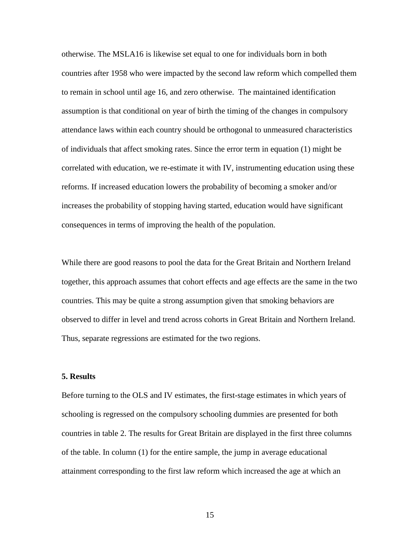otherwise. The MSLA16 is likewise set equal to one for individuals born in both countries after 1958 who were impacted by the second law reform which compelled them to remain in school until age 16, and zero otherwise. The maintained identification assumption is that conditional on year of birth the timing of the changes in compulsory attendance laws within each country should be orthogonal to unmeasured characteristics of individuals that affect smoking rates. Since the error term in equation (1) might be correlated with education, we re-estimate it with IV, instrumenting education using these reforms. If increased education lowers the probability of becoming a smoker and/or increases the probability of stopping having started, education would have significant consequences in terms of improving the health of the population.

While there are good reasons to pool the data for the Great Britain and Northern Ireland together, this approach assumes that cohort effects and age effects are the same in the two countries. This may be quite a strong assumption given that smoking behaviors are observed to differ in level and trend across cohorts in Great Britain and Northern Ireland. Thus, separate regressions are estimated for the two regions.

## **5. Results**

Before turning to the OLS and IV estimates, the first-stage estimates in which years of schooling is regressed on the compulsory schooling dummies are presented for both countries in table 2. The results for Great Britain are displayed in the first three columns of the table. In column (1) for the entire sample, the jump in average educational attainment corresponding to the first law reform which increased the age at which an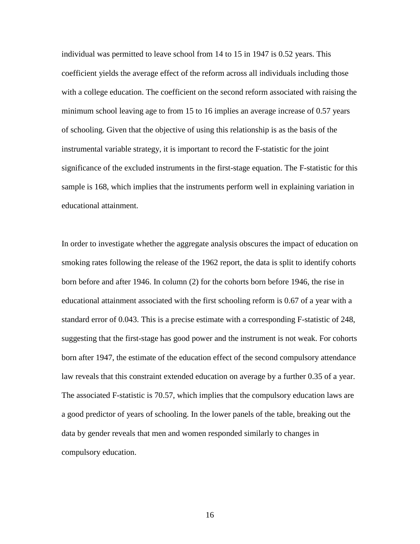individual was permitted to leave school from 14 to 15 in 1947 is 0.52 years. This coefficient yields the average effect of the reform across all individuals including those with a college education. The coefficient on the second reform associated with raising the minimum school leaving age to from 15 to 16 implies an average increase of 0.57 years of schooling. Given that the objective of using this relationship is as the basis of the instrumental variable strategy, it is important to record the F-statistic for the joint significance of the excluded instruments in the first-stage equation. The F-statistic for this sample is 168, which implies that the instruments perform well in explaining variation in educational attainment.

In order to investigate whether the aggregate analysis obscures the impact of education on smoking rates following the release of the 1962 report, the data is split to identify cohorts born before and after 1946. In column (2) for the cohorts born before 1946, the rise in educational attainment associated with the first schooling reform is 0.67 of a year with a standard error of 0.043. This is a precise estimate with a corresponding F-statistic of 248, suggesting that the first-stage has good power and the instrument is not weak. For cohorts born after 1947, the estimate of the education effect of the second compulsory attendance law reveals that this constraint extended education on average by a further 0.35 of a year. The associated F-statistic is 70.57, which implies that the compulsory education laws are a good predictor of years of schooling. In the lower panels of the table, breaking out the data by gender reveals that men and women responded similarly to changes in compulsory education.

16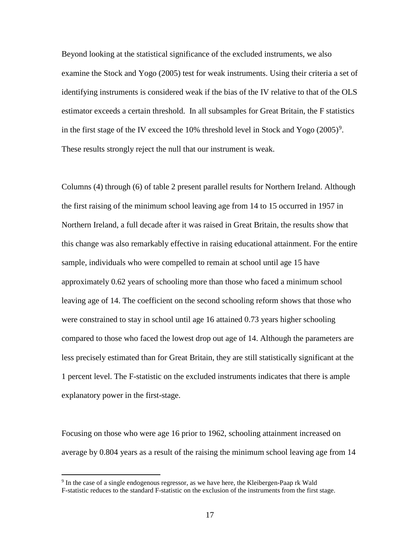Beyond looking at the statistical significance of the excluded instruments, we also examine the Stock and Yogo (2005) test for weak instruments. Using their criteria a set of identifying instruments is considered weak if the bias of the IV relative to that of the OLS estimator exceeds a certain threshold. In all subsamples for Great Britain, the F statistics in the first stage of the IV exceed the  $10\%$  threshold level in Stock and Yogo  $(2005)^9$  $(2005)^9$ . These results strongly reject the null that our instrument is weak.

Columns (4) through (6) of table 2 present parallel results for Northern Ireland. Although the first raising of the minimum school leaving age from 14 to 15 occurred in 1957 in Northern Ireland, a full decade after it was raised in Great Britain, the results show that this change was also remarkably effective in raising educational attainment. For the entire sample, individuals who were compelled to remain at school until age 15 have approximately 0.62 years of schooling more than those who faced a minimum school leaving age of 14. The coefficient on the second schooling reform shows that those who were constrained to stay in school until age 16 attained 0.73 years higher schooling compared to those who faced the lowest drop out age of 14. Although the parameters are less precisely estimated than for Great Britain, they are still statistically significant at the 1 percent level. The F-statistic on the excluded instruments indicates that there is ample explanatory power in the first-stage.

Focusing on those who were age 16 prior to 1962, schooling attainment increased on average by 0.804 years as a result of the raising the minimum school leaving age from 14

 $\overline{a}$ 

<span id="page-16-0"></span><sup>9</sup> In the case of a single endogenous regressor, as we have here, the Kleibergen-Paap rk Wald F-statistic reduces to the standard F-statistic on the exclusion of the instruments from the first stage.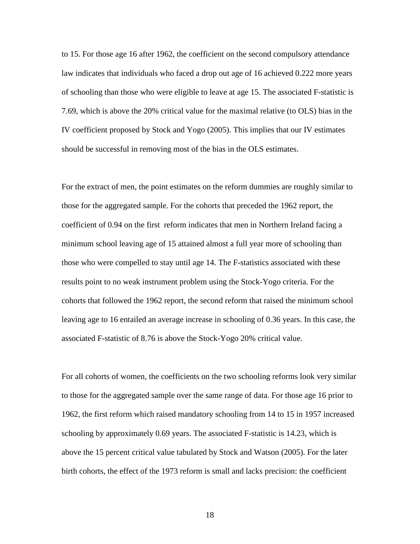to 15. For those age 16 after 1962, the coefficient on the second compulsory attendance law indicates that individuals who faced a drop out age of 16 achieved 0.222 more years of schooling than those who were eligible to leave at age 15. The associated F-statistic is 7.69, which is above the 20% critical value for the maximal relative (to OLS) bias in the IV coefficient proposed by Stock and Yogo (2005). This implies that our IV estimates should be successful in removing most of the bias in the OLS estimates.

For the extract of men, the point estimates on the reform dummies are roughly similar to those for the aggregated sample. For the cohorts that preceded the 1962 report, the coefficient of 0.94 on the first reform indicates that men in Northern Ireland facing a minimum school leaving age of 15 attained almost a full year more of schooling than those who were compelled to stay until age 14. The F-statistics associated with these results point to no weak instrument problem using the Stock-Yogo criteria. For the cohorts that followed the 1962 report, the second reform that raised the minimum school leaving age to 16 entailed an average increase in schooling of 0.36 years. In this case, the associated F-statistic of 8.76 is above the Stock-Yogo 20% critical value.

For all cohorts of women, the coefficients on the two schooling reforms look very similar to those for the aggregated sample over the same range of data. For those age 16 prior to 1962, the first reform which raised mandatory schooling from 14 to 15 in 1957 increased schooling by approximately 0.69 years. The associated F-statistic is 14.23, which is above the 15 percent critical value tabulated by Stock and Watson (2005). For the later birth cohorts, the effect of the 1973 reform is small and lacks precision: the coefficient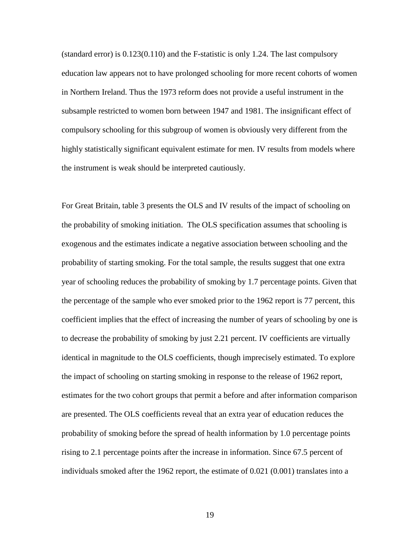(standard error) is 0.123(0.110) and the F-statistic is only 1.24. The last compulsory education law appears not to have prolonged schooling for more recent cohorts of women in Northern Ireland. Thus the 1973 reform does not provide a useful instrument in the subsample restricted to women born between 1947 and 1981. The insignificant effect of compulsory schooling for this subgroup of women is obviously very different from the highly statistically significant equivalent estimate for men. IV results from models where the instrument is weak should be interpreted cautiously.

For Great Britain, table 3 presents the OLS and IV results of the impact of schooling on the probability of smoking initiation. The OLS specification assumes that schooling is exogenous and the estimates indicate a negative association between schooling and the probability of starting smoking. For the total sample, the results suggest that one extra year of schooling reduces the probability of smoking by 1.7 percentage points. Given that the percentage of the sample who ever smoked prior to the 1962 report is 77 percent, this coefficient implies that the effect of increasing the number of years of schooling by one is to decrease the probability of smoking by just 2.21 percent. IV coefficients are virtually identical in magnitude to the OLS coefficients, though imprecisely estimated. To explore the impact of schooling on starting smoking in response to the release of 1962 report, estimates for the two cohort groups that permit a before and after information comparison are presented. The OLS coefficients reveal that an extra year of education reduces the probability of smoking before the spread of health information by 1.0 percentage points rising to 2.1 percentage points after the increase in information. Since 67.5 percent of individuals smoked after the 1962 report, the estimate of 0.021 (0.001) translates into a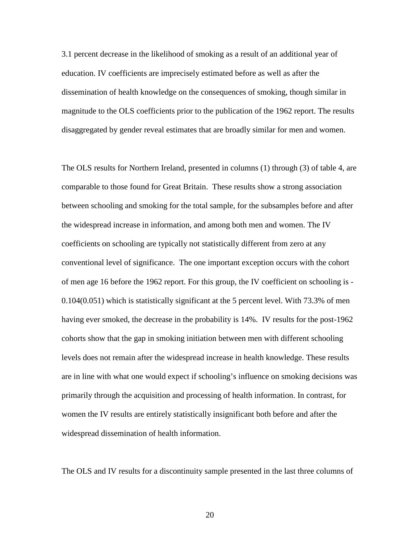3.1 percent decrease in the likelihood of smoking as a result of an additional year of education. IV coefficients are imprecisely estimated before as well as after the dissemination of health knowledge on the consequences of smoking, though similar in magnitude to the OLS coefficients prior to the publication of the 1962 report. The results disaggregated by gender reveal estimates that are broadly similar for men and women.

The OLS results for Northern Ireland, presented in columns (1) through (3) of table 4, are comparable to those found for Great Britain. These results show a strong association between schooling and smoking for the total sample, for the subsamples before and after the widespread increase in information, and among both men and women. The IV coefficients on schooling are typically not statistically different from zero at any conventional level of significance. The one important exception occurs with the cohort of men age 16 before the 1962 report. For this group, the IV coefficient on schooling is - 0.104(0.051) which is statistically significant at the 5 percent level. With 73.3% of men having ever smoked, the decrease in the probability is 14%. IV results for the post-1962 cohorts show that the gap in smoking initiation between men with different schooling levels does not remain after the widespread increase in health knowledge. These results are in line with what one would expect if schooling's influence on smoking decisions was primarily through the acquisition and processing of health information. In contrast, for women the IV results are entirely statistically insignificant both before and after the widespread dissemination of health information.

The OLS and IV results for a discontinuity sample presented in the last three columns of

20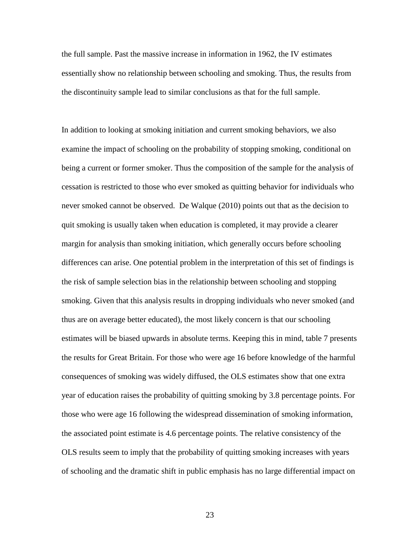the full sample. Past the massive increase in information in 1962, the IV estimates essentially show no relationship between schooling and smoking. Thus, the results from the discontinuity sample lead to similar conclusions as that for the full sample.

In addition to looking at smoking initiation and current smoking behaviors, we also examine the impact of schooling on the probability of stopping smoking, conditional on being a current or former smoker. Thus the composition of the sample for the analysis of cessation is restricted to those who ever smoked as quitting behavior for individuals who never smoked cannot be observed. De Walque (2010) points out that as the decision to quit smoking is usually taken when education is completed, it may provide a clearer margin for analysis than smoking initiation, which generally occurs before schooling differences can arise. One potential problem in the interpretation of this set of findings is the risk of sample selection bias in the relationship between schooling and stopping smoking. Given that this analysis results in dropping individuals who never smoked (and thus are on average better educated), the most likely concern is that our schooling estimates will be biased upwards in absolute terms. Keeping this in mind, table 7 presents the results for Great Britain. For those who were age 16 before knowledge of the harmful consequences of smoking was widely diffused, the OLS estimates show that one extra year of education raises the probability of quitting smoking by 3.8 percentage points. For those who were age 16 following the widespread dissemination of smoking information, the associated point estimate is 4.6 percentage points. The relative consistency of the OLS results seem to imply that the probability of quitting smoking increases with years of schooling and the dramatic shift in public emphasis has no large differential impact on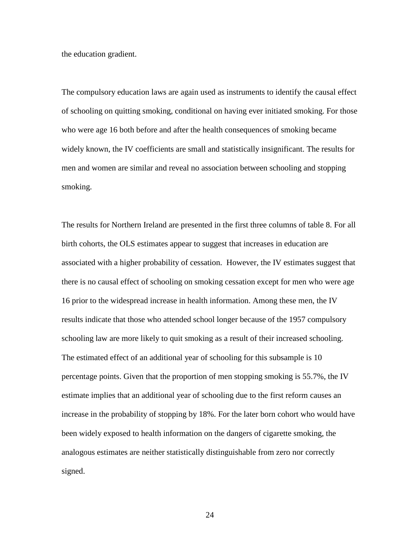the education gradient.

The compulsory education laws are again used as instruments to identify the causal effect of schooling on quitting smoking, conditional on having ever initiated smoking. For those who were age 16 both before and after the health consequences of smoking became widely known, the IV coefficients are small and statistically insignificant. The results for men and women are similar and reveal no association between schooling and stopping smoking.

The results for Northern Ireland are presented in the first three columns of table 8. For all birth cohorts, the OLS estimates appear to suggest that increases in education are associated with a higher probability of cessation. However, the IV estimates suggest that there is no causal effect of schooling on smoking cessation except for men who were age 16 prior to the widespread increase in health information. Among these men, the IV results indicate that those who attended school longer because of the 1957 compulsory schooling law are more likely to quit smoking as a result of their increased schooling. The estimated effect of an additional year of schooling for this subsample is 10 percentage points. Given that the proportion of men stopping smoking is 55.7%, the IV estimate implies that an additional year of schooling due to the first reform causes an increase in the probability of stopping by 18%. For the later born cohort who would have been widely exposed to health information on the dangers of cigarette smoking, the analogous estimates are neither statistically distinguishable from zero nor correctly signed.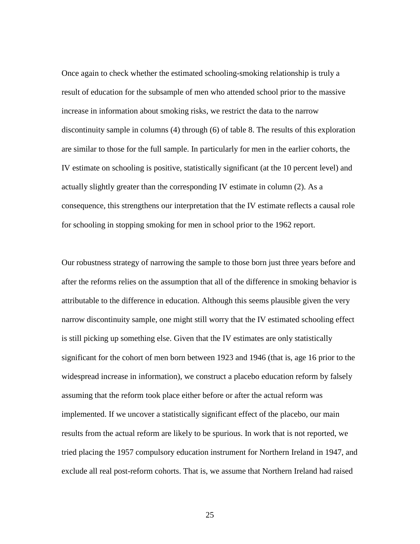Once again to check whether the estimated schooling-smoking relationship is truly a result of education for the subsample of men who attended school prior to the massive increase in information about smoking risks, we restrict the data to the narrow discontinuity sample in columns (4) through (6) of table 8. The results of this exploration are similar to those for the full sample. In particularly for men in the earlier cohorts, the IV estimate on schooling is positive, statistically significant (at the 10 percent level) and actually slightly greater than the corresponding IV estimate in column (2). As a consequence, this strengthens our interpretation that the IV estimate reflects a causal role for schooling in stopping smoking for men in school prior to the 1962 report.

Our robustness strategy of narrowing the sample to those born just three years before and after the reforms relies on the assumption that all of the difference in smoking behavior is attributable to the difference in education. Although this seems plausible given the very narrow discontinuity sample, one might still worry that the IV estimated schooling effect is still picking up something else. Given that the IV estimates are only statistically significant for the cohort of men born between 1923 and 1946 (that is, age 16 prior to the widespread increase in information), we construct a placebo education reform by falsely assuming that the reform took place either before or after the actual reform was implemented. If we uncover a statistically significant effect of the placebo, our main results from the actual reform are likely to be spurious. In work that is not reported, we tried placing the 1957 compulsory education instrument for Northern Ireland in 1947, and exclude all real post-reform cohorts. That is, we assume that Northern Ireland had raised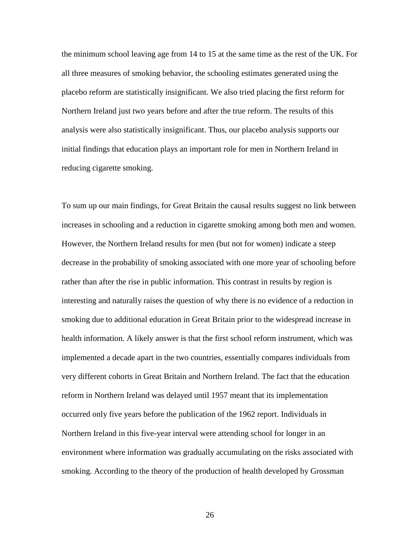the minimum school leaving age from 14 to 15 at the same time as the rest of the UK. For all three measures of smoking behavior, the schooling estimates generated using the placebo reform are statistically insignificant. We also tried placing the first reform for Northern Ireland just two years before and after the true reform. The results of this analysis were also statistically insignificant. Thus, our placebo analysis supports our initial findings that education plays an important role for men in Northern Ireland in reducing cigarette smoking.

To sum up our main findings, for Great Britain the causal results suggest no link between increases in schooling and a reduction in cigarette smoking among both men and women. However, the Northern Ireland results for men (but not for women) indicate a steep decrease in the probability of smoking associated with one more year of schooling before rather than after the rise in public information. This contrast in results by region is interesting and naturally raises the question of why there is no evidence of a reduction in smoking due to additional education in Great Britain prior to the widespread increase in health information. A likely answer is that the first school reform instrument, which was implemented a decade apart in the two countries, essentially compares individuals from very different cohorts in Great Britain and Northern Ireland. The fact that the education reform in Northern Ireland was delayed until 1957 meant that its implementation occurred only five years before the publication of the 1962 report. Individuals in Northern Ireland in this five-year interval were attending school for longer in an environment where information was gradually accumulating on the risks associated with smoking. According to the theory of the production of health developed by Grossman

26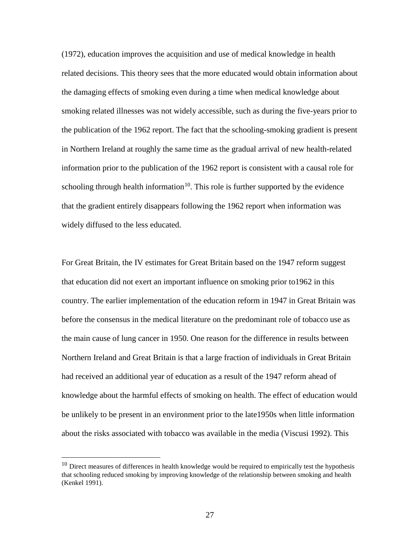(1972), education improves the acquisition and use of medical knowledge in health related decisions. This theory sees that the more educated would obtain information about the damaging effects of smoking even during a time when medical knowledge about smoking related illnesses was not widely accessible, such as during the five-years prior to the publication of the 1962 report. The fact that the schooling-smoking gradient is present in Northern Ireland at roughly the same time as the gradual arrival of new health-related information prior to the publication of the 1962 report is consistent with a causal role for schooling through health information<sup>[10](#page-26-0)</sup>. This role is further supported by the evidence that the gradient entirely disappears following the 1962 report when information was widely diffused to the less educated.

For Great Britain, the IV estimates for Great Britain based on the 1947 reform suggest that education did not exert an important influence on smoking prior to1962 in this country. The earlier implementation of the education reform in 1947 in Great Britain was before the consensus in the medical literature on the predominant role of tobacco use as the main cause of lung cancer in 1950. One reason for the difference in results between Northern Ireland and Great Britain is that a large fraction of individuals in Great Britain had received an additional year of education as a result of the 1947 reform ahead of knowledge about the harmful effects of smoking on health. The effect of education would be unlikely to be present in an environment prior to the late1950s when little information about the risks associated with tobacco was available in the media (Viscusi 1992). This

 $\overline{a}$ 

<span id="page-26-0"></span> $10$  Direct measures of differences in health knowledge would be required to empirically test the hypothesis that schooling reduced smoking by improving knowledge of the relationship between smoking and health (Kenkel 1991).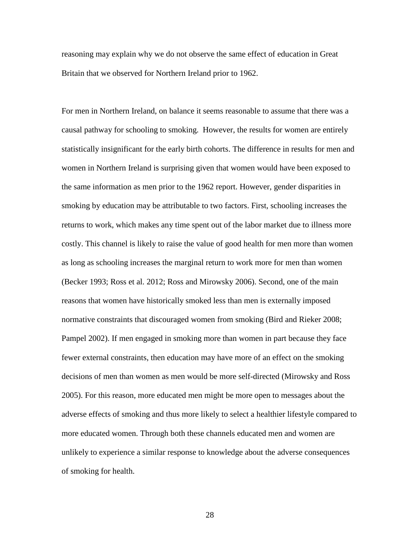reasoning may explain why we do not observe the same effect of education in Great Britain that we observed for Northern Ireland prior to 1962.

For men in Northern Ireland, on balance it seems reasonable to assume that there was a causal pathway for schooling to smoking. However, the results for women are entirely statistically insignificant for the early birth cohorts. The difference in results for men and women in Northern Ireland is surprising given that women would have been exposed to the same information as men prior to the 1962 report. However, gender disparities in smoking by education may be attributable to two factors. First, schooling increases the returns to work, which makes any time spent out of the labor market due to illness more costly. This channel is likely to raise the value of good health for men more than women as long as schooling increases the marginal return to work more for men than women (Becker 1993; Ross et al. 2012; Ross and Mirowsky 2006). Second, one of the main reasons that women have historically smoked less than men is externally imposed normative constraints that discouraged women from smoking (Bird and Rieker 2008; Pampel 2002). If men engaged in smoking more than women in part because they face fewer external constraints, then education may have more of an effect on the smoking decisions of men than women as men would be more self-directed (Mirowsky and Ross 2005). For this reason, more educated men might be more open to messages about the adverse effects of smoking and thus more likely to select a healthier lifestyle compared to more educated women. Through both these channels educated men and women are unlikely to experience a similar response to knowledge about the adverse consequences of smoking for health.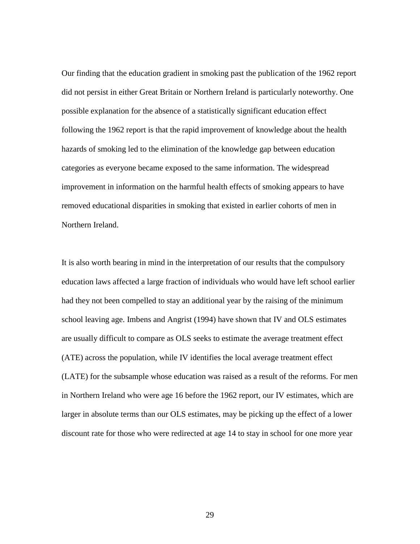Our finding that the education gradient in smoking past the publication of the 1962 report did not persist in either Great Britain or Northern Ireland is particularly noteworthy. One possible explanation for the absence of a statistically significant education effect following the 1962 report is that the rapid improvement of knowledge about the health hazards of smoking led to the elimination of the knowledge gap between education categories as everyone became exposed to the same information. The widespread improvement in information on the harmful health effects of smoking appears to have removed educational disparities in smoking that existed in earlier cohorts of men in Northern Ireland.

It is also worth bearing in mind in the interpretation of our results that the compulsory education laws affected a large fraction of individuals who would have left school earlier had they not been compelled to stay an additional year by the raising of the minimum school leaving age. Imbens and Angrist (1994) have shown that IV and OLS estimates are usually difficult to compare as OLS seeks to estimate the average treatment effect (ATE) across the population, while IV identifies the local average treatment effect (LATE) for the subsample whose education was raised as a result of the reforms. For men in Northern Ireland who were age 16 before the 1962 report, our IV estimates, which are larger in absolute terms than our OLS estimates, may be picking up the effect of a lower discount rate for those who were redirected at age 14 to stay in school for one more year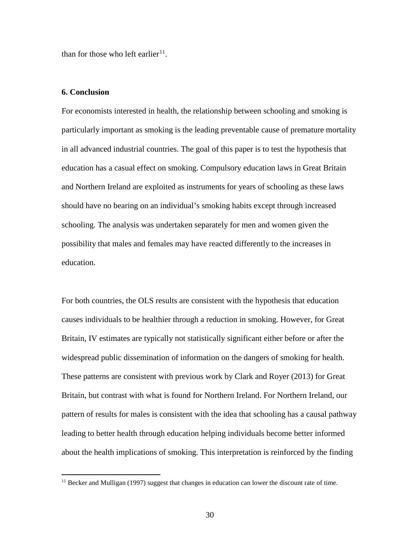than for those who left earlier<sup>11</sup>.

## **6. Conclusion**

 $\overline{a}$ 

For economists interested in health, the relationship between schooling and smoking is particularly important as smoking is the leading preventable cause of premature mortality in all advanced industrial countries. The goal of this paper is to test the hypothesis that education has a casual effect on smoking. Compulsory education laws in Great Britain and Northern Ireland are exploited as instruments for years of schooling as these laws should have no bearing on an individual's smoking habits except through increased schooling. The analysis was undertaken separately for men and women given the possibility that males and females may have reacted differently to the increases in education.

For both countries, the OLS results are consistent with the hypothesis that education causes individuals to be healthier through a reduction in smoking. However, for Great Britain, IV estimates are typically not statistically significant either before or after the widespread public dissemination of information on the dangers of smoking for health. These patterns are consistent with previous work by Clark and Royer (2013) for Great Britain, but contrast with what is found for Northern Ireland. For Northern Ireland, our pattern of results for males is consistent with the idea that schooling has a causal pathway leading to better health through education helping individuals become better informed about the health implications of smoking. This interpretation is reinforced by the finding

<span id="page-29-0"></span> $<sup>11</sup>$  Becker and Mulligan (1997) suggest that changes in education can lower the discount rate of time.</sup>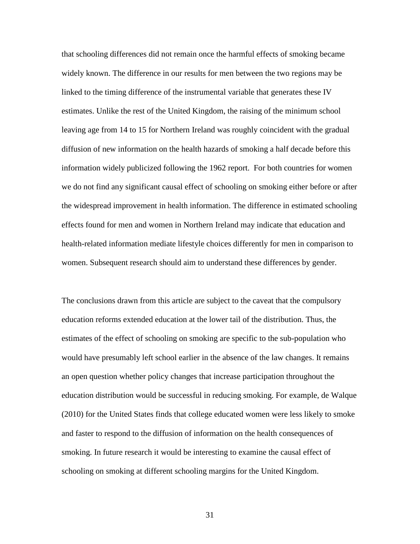that schooling differences did not remain once the harmful effects of smoking became widely known. The difference in our results for men between the two regions may be linked to the timing difference of the instrumental variable that generates these IV estimates. Unlike the rest of the United Kingdom, the raising of the minimum school leaving age from 14 to 15 for Northern Ireland was roughly coincident with the gradual diffusion of new information on the health hazards of smoking a half decade before this information widely publicized following the 1962 report. For both countries for women we do not find any significant causal effect of schooling on smoking either before or after the widespread improvement in health information. The difference in estimated schooling effects found for men and women in Northern Ireland may indicate that education and health-related information mediate lifestyle choices differently for men in comparison to women. Subsequent research should aim to understand these differences by gender.

The conclusions drawn from this article are subject to the caveat that the compulsory education reforms extended education at the lower tail of the distribution. Thus, the estimates of the effect of schooling on smoking are specific to the sub-population who would have presumably left school earlier in the absence of the law changes. It remains an open question whether policy changes that increase participation throughout the education distribution would be successful in reducing smoking. For example, de Walque (2010) for the United States finds that college educated women were less likely to smoke and faster to respond to the diffusion of information on the health consequences of smoking. In future research it would be interesting to examine the causal effect of schooling on smoking at different schooling margins for the United Kingdom.

31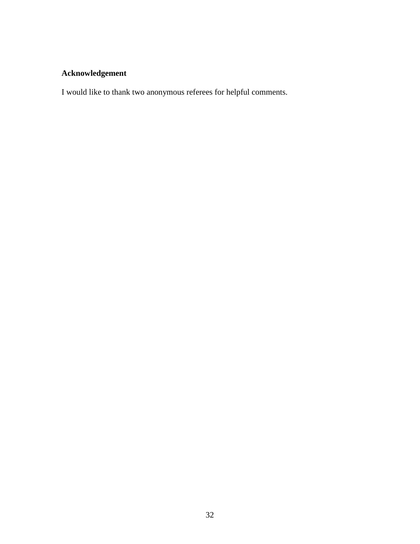# **Acknowledgement**

I would like to thank two anonymous referees for helpful comments.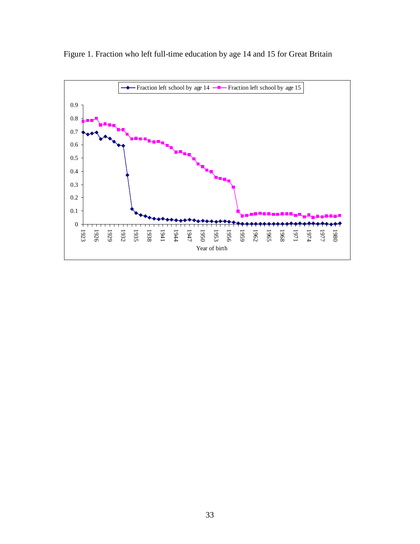

Figure 1. Fraction who left full-time education by age 14 and 15 for Great Britain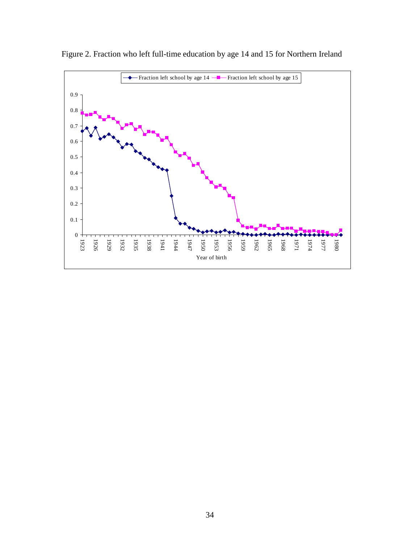

Figure 2. Fraction who left full-time education by age 14 and 15 for Northern Ireland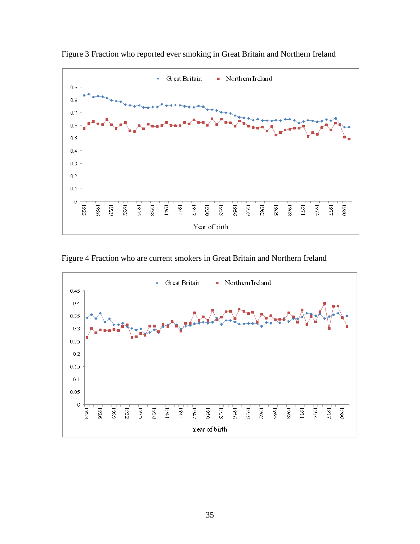

Figure 3 Fraction who reported ever smoking in Great Britain and Northern Ireland

Figure 4 Fraction who are current smokers in Great Britain and Northern Ireland

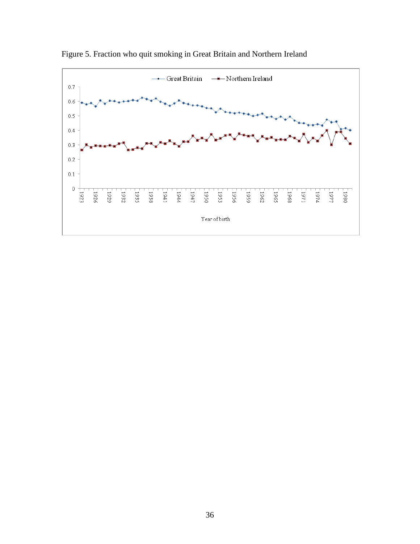

Figure 5. Fraction who quit smoking in Great Britain and Northern Ireland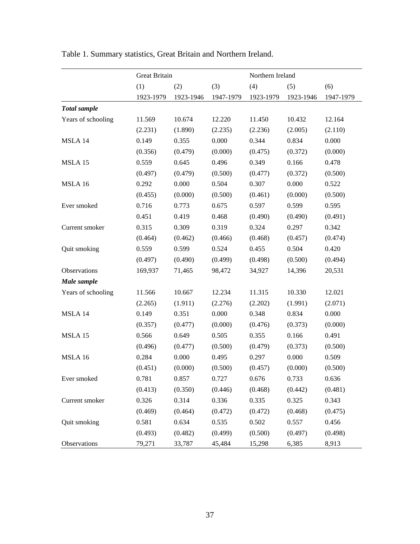|                     | <b>Great Britain</b> |           |           | Northern Ireland |           |           |
|---------------------|----------------------|-----------|-----------|------------------|-----------|-----------|
|                     | (1)                  | (2)       | (3)       | (4)              | (5)       | (6)       |
|                     | 1923-1979            | 1923-1946 | 1947-1979 | 1923-1979        | 1923-1946 | 1947-1979 |
| <b>Total</b> sample |                      |           |           |                  |           |           |
| Years of schooling  | 11.569               | 10.674    | 12.220    | 11.450           | 10.432    | 12.164    |
|                     | (2.231)              | (1.890)   | (2.235)   | (2.236)          | (2.005)   | (2.110)   |
| MSLA 14             | 0.149                | 0.355     | 0.000     | 0.344            | 0.834     | 0.000     |
|                     | (0.356)              | (0.479)   | (0.000)   | (0.475)          | (0.372)   | (0.000)   |
| MSLA 15             | 0.559                | 0.645     | 0.496     | 0.349            | 0.166     | 0.478     |
|                     | (0.497)              | (0.479)   | (0.500)   | (0.477)          | (0.372)   | (0.500)   |
| MSLA 16             | 0.292                | 0.000     | 0.504     | 0.307            | 0.000     | 0.522     |
|                     | (0.455)              | (0.000)   | (0.500)   | (0.461)          | (0.000)   | (0.500)   |
| Ever smoked         | 0.716                | 0.773     | 0.675     | 0.597            | 0.599     | 0.595     |
|                     | 0.451                | 0.419     | 0.468     | (0.490)          | (0.490)   | (0.491)   |
| Current smoker      | 0.315                | 0.309     | 0.319     | 0.324            | 0.297     | 0.342     |
|                     | (0.464)              | (0.462)   | (0.466)   | (0.468)          | (0.457)   | (0.474)   |
| Quit smoking        | 0.559                | 0.599     | 0.524     | 0.455            | 0.504     | 0.420     |
|                     | (0.497)              | (0.490)   | (0.499)   | (0.498)          | (0.500)   | (0.494)   |
| Observations        | 169,937              | 71,465    | 98,472    | 34,927           | 14,396    | 20,531    |
| Male sample         |                      |           |           |                  |           |           |
| Years of schooling  | 11.566               | 10.667    | 12.234    | 11.315           | 10.330    | 12.021    |
|                     | (2.265)              | (1.911)   | (2.276)   | (2.202)          | (1.991)   | (2.071)   |
| MSLA 14             | 0.149                | 0.351     | 0.000     | 0.348            | 0.834     | 0.000     |
|                     | (0.357)              | (0.477)   | (0.000)   | (0.476)          | (0.373)   | (0.000)   |
| MSLA 15             | 0.566                | 0.649     | 0.505     | 0.355            | 0.166     | 0.491     |
|                     | (0.496)              | (0.477)   | (0.500)   | (0.479)          | (0.373)   | (0.500)   |
| MSLA 16             | 0.284                | 0.000     | 0.495     | 0.297            | 0.000     | 0.509     |
|                     | (0.451)              | (0.000)   | (0.500)   | (0.457)          | (0.000)   | (0.500)   |
| Ever smoked         | 0.781                | 0.857     | 0.727     | 0.676            | 0.733     | 0.636     |
|                     | (0.413)              | (0.350)   | (0.446)   | (0.468)          | (0.442)   | (0.481)   |
| Current smoker      | 0.326                | 0.314     | 0.336     | 0.335            | 0.325     | 0.343     |
|                     | (0.469)              | (0.464)   | (0.472)   | (0.472)          | (0.468)   | (0.475)   |
| Quit smoking        | 0.581                | 0.634     | 0.535     | 0.502            | 0.557     | 0.456     |
|                     | (0.493)              | (0.482)   | (0.499)   | (0.500)          | (0.497)   | (0.498)   |
| Observations        | 79,271               | 33,787    | 45,484    | 15,298           | 6,385     | 8,913     |

Table 1. Summary statistics, Great Britain and Northern Ireland.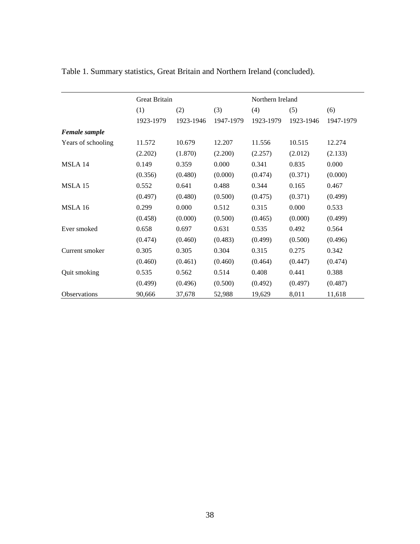|                    | Great Britain |           |           | Northern Ireland |           |           |
|--------------------|---------------|-----------|-----------|------------------|-----------|-----------|
|                    | (1)           | (2)       | (3)       | (4)              | (5)       | (6)       |
|                    | 1923-1979     | 1923-1946 | 1947-1979 | 1923-1979        | 1923-1946 | 1947-1979 |
| Female sample      |               |           |           |                  |           |           |
| Years of schooling | 11.572        | 10.679    | 12.207    | 11.556           | 10.515    | 12.274    |
|                    | (2.202)       | (1.870)   | (2.200)   | (2.257)          | (2.012)   | (2.133)   |
| MSLA 14            | 0.149         | 0.359     | 0.000     | 0.341            | 0.835     | 0.000     |
|                    | (0.356)       | (0.480)   | (0.000)   | (0.474)          | (0.371)   | (0.000)   |
| MSLA 15            | 0.552         | 0.641     | 0.488     | 0.344            | 0.165     | 0.467     |
|                    | (0.497)       | (0.480)   | (0.500)   | (0.475)          | (0.371)   | (0.499)   |
| MSLA 16            | 0.299         | 0.000     | 0.512     | 0.315            | 0.000     | 0.533     |
|                    | (0.458)       | (0.000)   | (0.500)   | (0.465)          | (0.000)   | (0.499)   |
| Ever smoked        | 0.658         | 0.697     | 0.631     | 0.535            | 0.492     | 0.564     |
|                    | (0.474)       | (0.460)   | (0.483)   | (0.499)          | (0.500)   | (0.496)   |
| Current smoker     | 0.305         | 0.305     | 0.304     | 0.315            | 0.275     | 0.342     |
|                    | (0.460)       | (0.461)   | (0.460)   | (0.464)          | (0.447)   | (0.474)   |
| Quit smoking       | 0.535         | 0.562     | 0.514     | 0.408            | 0.441     | 0.388     |
|                    | (0.499)       | (0.496)   | (0.500)   | (0.492)          | (0.497)   | (0.487)   |
| Observations       | 90,666        | 37,678    | 52,988    | 19,629           | 8,011     | 11,618    |

Table 1. Summary statistics, Great Britain and Northern Ireland (concluded).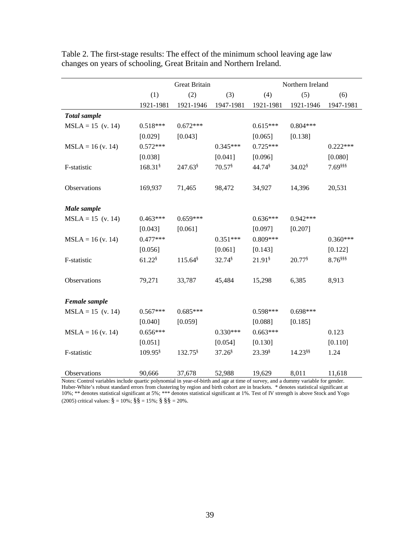|                     |                      | <b>Great Britain</b> |                      |                      | Northern Ireland      |             |
|---------------------|----------------------|----------------------|----------------------|----------------------|-----------------------|-------------|
|                     | (1)                  | (2)                  | (3)                  | (4)                  | (5)                   | (6)         |
|                     | 1921-1981            | 1921-1946            | 1947-1981            | 1921-1981            | 1921-1946             | 1947-1981   |
| <b>Total</b> sample |                      |                      |                      |                      |                       |             |
| $MSLA = 15$ (v. 14) | $0.518***$           | $0.672***$           |                      | $0.615***$           | $0.804***$            |             |
|                     | [0.029]              | [0.043]              |                      | [0.065]              | [0.138]               |             |
| $MSLA = 16$ (v. 14) | $0.572***$           |                      | $0.345***$           | $0.725***$           |                       | $0.222***$  |
|                     | [0.038]              |                      | [0.041]              | [0.096]              |                       | [0.080]     |
| F-statistic         | 168.31               | 247.63               | $70.57$ <sup>§</sup> | 44.74 \$             | $34.02$ <sup>§</sup>  | 7.69 \$\$\$ |
|                     |                      |                      |                      |                      |                       |             |
| Observations        | 169,937              | 71,465               | 98,472               | 34,927               | 14,396                | 20,531      |
|                     |                      |                      |                      |                      |                       |             |
| Male sample         |                      |                      |                      |                      |                       |             |
| $MSLA = 15$ (v. 14) | $0.463***$           | $0.659***$           |                      | $0.636***$           | $0.942***$            |             |
|                     | [0.043]              | [0.061]              |                      | [0.097]              | [0.207]               |             |
| $MSLA = 16$ (v. 14) | $0.477***$           |                      | $0.351***$           | $0.809***$           |                       | $0.360***$  |
|                     | [0.056]              |                      | [0.061]              | [0.143]              |                       | [0.122]     |
| F-statistic         | $61.22$ <sup>§</sup> | 115.64               | 32.74 \$             | $21.91$ <sup>§</sup> | 20.77 \$              | 8.76 \$\$\$ |
|                     |                      |                      |                      |                      |                       |             |
| Observations        | 79,271               | 33,787               | 45,484               | 15,298               | 6,385                 | 8,913       |
|                     |                      |                      |                      |                      |                       |             |
| Female sample       |                      |                      |                      |                      |                       |             |
| $MSLA = 15$ (v. 14) | $0.567***$           | $0.685***$           |                      | $0.598***$           | $0.698***$            |             |
|                     | [0.040]              | [0.059]              |                      | [0.088]              | [0.185]               |             |
| $MSLA = 16$ (v. 14) | $0.656***$           |                      | $0.330***$           | $0.663***$           |                       | 0.123       |
|                     | [0.051]              |                      | [0.054]              | [0.130]              |                       | [0.110]     |
| F-statistic         | 109.95 \$            | 132.75               | $37.26^{\$}$         | $23.39^{\$}$         | $14.23$ <sup>§§</sup> | 1.24        |
|                     |                      |                      |                      |                      |                       |             |
| Observations        | 90,666               | 37,678               | 52,988               | 19,629               | 8,011                 | 11,618      |

Table 2. The first-stage results: The effect of the minimum school leaving age law changes on years of schooling, Great Britain and Northern Ireland.

Notes: Control variables include quartic polynomial in year-of-birth and age at time of survey, and a dummy variable for gender. Huber-White's robust standard errors from clustering by region and birth cohort are in brackets. \* denotes statistical significant at 10%; \*\* denotes statistical significant at 5%; \*\*\* denotes statistical significant at 1%. Test of IV strength is above Stock and Yogo (2005) critical values:  $\S = 10\%$ ;  $\S$ § = 15%;  $\S$ §  $\S$  = 20%.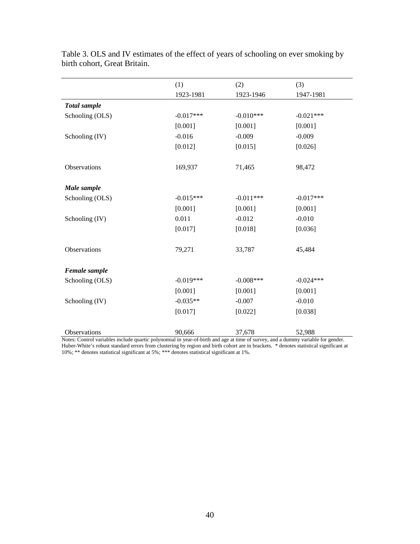|                     | (1)         | (2)          | (3)         |
|---------------------|-------------|--------------|-------------|
|                     | 1923-1981   | 1923-1946    | 1947-1981   |
| <b>Total</b> sample |             |              |             |
| Schooling (OLS)     | $-0.017***$ | $-0.010***$  | $-0.021***$ |
|                     | [0.001]     | [0.001]      | [0.001]     |
| Schooling (IV)      | $-0.016$    | $-0.009$     | $-0.009$    |
|                     | [0.012]     | [0.015]      | [0.026]     |
| Observations        | 169,937     | 71,465       | 98,472      |
| Male sample         |             |              |             |
| Schooling (OLS)     | $-0.015***$ | $-0.011***$  | $-0.017***$ |
|                     | [0.001]     | [0.001]      | [0.001]     |
| Schooling (IV)      | 0.011       | $-0.012$     | $-0.010$    |
|                     | [0.017]     | [0.018]      | [0.036]     |
| Observations        | 79,271      | 33,787       | 45,484      |
| Female sample       |             |              |             |
| Schooling (OLS)     | $-0.019***$ | $-0.008$ *** | $-0.024***$ |
|                     | [0.001]     | [0.001]      | [0.001]     |
| Schooling (IV)      | $-0.035**$  | $-0.007$     | $-0.010$    |
|                     | [0.017]     | [0.022]      | [0.038]     |
| <b>Observations</b> | 90,666      | 37,678       | 52,988      |

Table 3. OLS and IV estimates of the effect of years of schooling on ever smoking by birth cohort, Great Britain.

Notes: Control variables include quartic polynomial in year-of-birth and age at time of survey, and a dummy variable for gender. Huber-White's robust standard errors from clustering by region and birth cohort are in brackets. \* denotes statistical significant at 10%; \*\* denotes statistical significant at 5%; \*\*\* denotes statistical significant at 1%.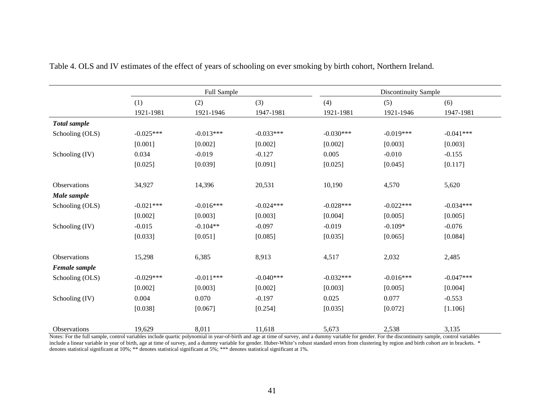|                 |             | Full Sample |             |             | <b>Discontinuity Sample</b> |             |
|-----------------|-------------|-------------|-------------|-------------|-----------------------------|-------------|
|                 | (1)         | (2)         | (3)         | (4)         | (5)                         | (6)         |
|                 | 1921-1981   | 1921-1946   | 1947-1981   | 1921-1981   | 1921-1946                   | 1947-1981   |
| Total sample    |             |             |             |             |                             |             |
| Schooling (OLS) | $-0.025***$ | $-0.013***$ | $-0.033***$ | $-0.030***$ | $-0.019***$                 | $-0.041***$ |
|                 | [0.001]     | [0.002]     | [0.002]     | [0.002]     | [0.003]                     | [0.003]     |
| Schooling (IV)  | 0.034       | $-0.019$    | $-0.127$    | 0.005       | $-0.010$                    | $-0.155$    |
|                 | [0.025]     | [0.039]     | [0.091]     | [0.025]     | [0.045]                     | [0.117]     |
|                 |             |             |             |             |                             |             |
| Observations    | 34,927      | 14,396      | 20,531      | 10,190      | 4,570                       | 5,620       |
| Male sample     |             |             |             |             |                             |             |
| Schooling (OLS) | $-0.021***$ | $-0.016***$ | $-0.024***$ | $-0.028***$ | $-0.022***$                 | $-0.034***$ |
|                 | [0.002]     | [0.003]     | [0.003]     | [0.004]     | [0.005]                     | [0.005]     |
| Schooling (IV)  | $-0.015$    | $-0.104**$  | $-0.097$    | $-0.019$    | $-0.109*$                   | $-0.076$    |
|                 | [0.033]     | [0.051]     | [0.085]     | [0.035]     | [0.065]                     | [0.084]     |
|                 |             |             |             |             |                             |             |
| Observations    | 15,298      | 6,385       | 8,913       | 4,517       | 2,032                       | 2,485       |
| Female sample   |             |             |             |             |                             |             |
| Schooling (OLS) | $-0.029***$ | $-0.011***$ | $-0.040***$ | $-0.032***$ | $-0.016***$                 | $-0.047***$ |
|                 | [0.002]     | [0.003]     | [0.002]     | [0.003]     | [0.005]                     | [0.004]     |
| Schooling (IV)  | 0.004       | 0.070       | $-0.197$    | 0.025       | 0.077                       | $-0.553$    |
|                 | [0.038]     | [0.067]     | [0.254]     | [0.035]     | [0.072]                     | [1.106]     |
|                 |             |             |             |             |                             |             |
| Observations    | 19,629      | 8,011       | 11,618      | 5,673       | 2,538                       | 3,135       |

Table 4. OLS and IV estimates of the effect of years of schooling on ever smoking by birth cohort, Northern Ireland.

Notes: For the full sample, control variables include quartic polynomial in year-of-birth and age at time of survey, and a dummy variable for gender. For the discontinuity sample, control variables include a linear variable in year of birth, age at time of survey, and a dummy variable for gender. Huber-White's robust standard errors from clustering by region and birth cohort are in brackets. \* denotes statistical significant at 10%; \*\* denotes statistical significant at 5%; \*\*\* denotes statistical significant at 1%.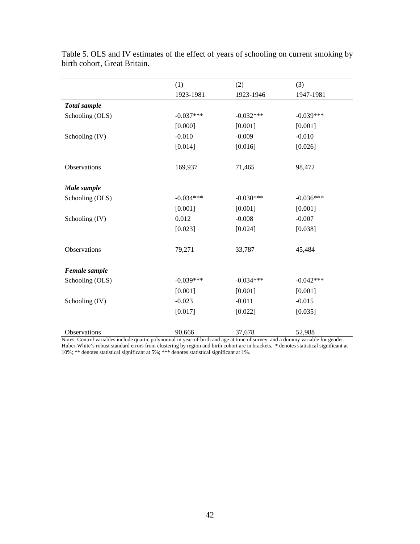|                     | (1)         | (2)         | (3)         |
|---------------------|-------------|-------------|-------------|
|                     | 1923-1981   | 1923-1946   | 1947-1981   |
| <b>Total</b> sample |             |             |             |
| Schooling (OLS)     | $-0.037***$ | $-0.032***$ | $-0.039***$ |
|                     | [0.000]     | [0.001]     | [0.001]     |
| Schooling (IV)      | $-0.010$    | $-0.009$    | $-0.010$    |
|                     | [0.014]     | [0.016]     | [0.026]     |
| Observations        | 169,937     | 71,465      | 98,472      |
| Male sample         |             |             |             |
| Schooling (OLS)     | $-0.034***$ | $-0.030***$ | $-0.036***$ |
|                     | [0.001]     | [0.001]     | [0.001]     |
| Schooling (IV)      | 0.012       | $-0.008$    | $-0.007$    |
|                     | [0.023]     | [0.024]     | [0.038]     |
| Observations        | 79,271      | 33,787      | 45,484      |
| Female sample       |             |             |             |
| Schooling (OLS)     | $-0.039***$ | $-0.034***$ | $-0.042***$ |
|                     | [0.001]     | [0.001]     | [0.001]     |
| Schooling (IV)      | $-0.023$    | $-0.011$    | $-0.015$    |
|                     | [0.017]     | [0.022]     | [0.035]     |
| Observations        | 90,666      | 37,678      | 52,988      |

Table 5. OLS and IV estimates of the effect of years of schooling on current smoking by birth cohort, Great Britain.

Notes: Control variables include quartic polynomial in year-of-birth and age at time of survey, and a dummy variable for gender. Huber-White's robust standard errors from clustering by region and birth cohort are in brackets. \* denotes statistical significant at 10%; \*\* denotes statistical significant at 5%; \*\*\* denotes statistical significant at 1%.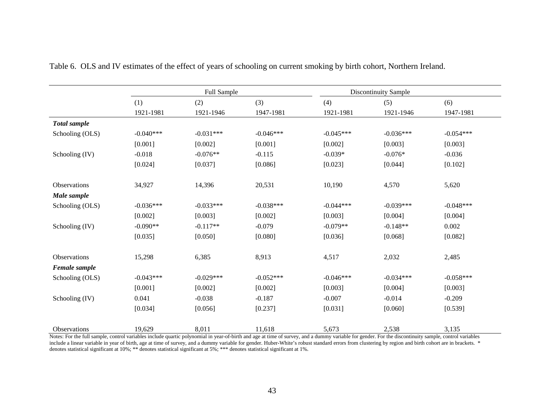|                     |             | Full Sample |             |             | <b>Discontinuity Sample</b> |             |
|---------------------|-------------|-------------|-------------|-------------|-----------------------------|-------------|
|                     | (1)         | (2)         | (3)         | (4)         | (5)                         | (6)         |
|                     | 1921-1981   | 1921-1946   | 1947-1981   | 1921-1981   | 1921-1946                   | 1947-1981   |
| <b>Total</b> sample |             |             |             |             |                             |             |
| Schooling (OLS)     | $-0.040***$ | $-0.031***$ | $-0.046***$ | $-0.045***$ | $-0.036***$                 | $-0.054***$ |
|                     | [0.001]     | [0.002]     | [0.001]     | [0.002]     | [0.003]                     | [0.003]     |
| Schooling (IV)      | $-0.018$    | $-0.076**$  | $-0.115$    | $-0.039*$   | $-0.076*$                   | $-0.036$    |
|                     | [0.024]     | [0.037]     | [0.086]     | [0.023]     | [0.044]                     | [0.102]     |
|                     |             |             |             |             |                             |             |
| Observations        | 34,927      | 14,396      | 20,531      | 10,190      | 4,570                       | 5,620       |
| Male sample         |             |             |             |             |                             |             |
| Schooling (OLS)     | $-0.036***$ | $-0.033***$ | $-0.038***$ | $-0.044***$ | $-0.039***$                 | $-0.048***$ |
|                     | [0.002]     | [0.003]     | [0.002]     | [0.003]     | [0.004]                     | [0.004]     |
| Schooling (IV)      | $-0.090**$  | $-0.117**$  | $-0.079$    | $-0.079**$  | $-0.148**$                  | 0.002       |
|                     | [0.035]     | [0.050]     | [0.080]     | [0.036]     | [0.068]                     | [0.082]     |
| Observations        | 15,298      | 6,385       | 8,913       | 4,517       | 2,032                       | 2,485       |
| Female sample       |             |             |             |             |                             |             |
| Schooling (OLS)     | $-0.043***$ | $-0.029***$ | $-0.052***$ | $-0.046***$ | $-0.034***$                 | $-0.058***$ |
|                     | [0.001]     | [0.002]     | [0.002]     | [0.003]     | [0.004]                     | [0.003]     |
| Schooling (IV)      | 0.041       | $-0.038$    | $-0.187$    | $-0.007$    | $-0.014$                    | $-0.209$    |
|                     | [0.034]     | [0.056]     | [0.237]     | [0.031]     | [0.060]                     | [0.539]     |
| Observations        | 19,629      | 8,011       | 11,618      | 5,673       | 2,538                       | 3,135       |

Table 6. OLS and IV estimates of the effect of years of schooling on current smoking by birth cohort, Northern Ireland.

Notes: For the full sample, control variables include quartic polynomial in year-of-birth and age at time of survey, and a dummy variable for gender. For the discontinuity sample, control variables include a linear variable in year of birth, age at time of survey, and a dummy variable for gender. Huber-White's robust standard errors from clustering by region and birth cohort are in brackets. \* denotes statistical significant at 10%; \*\* denotes statistical significant at 5%; \*\*\* denotes statistical significant at 1%.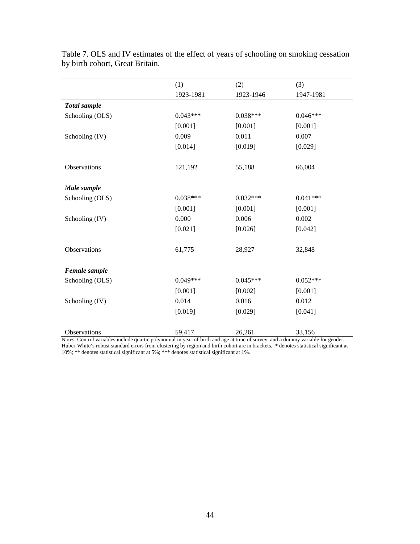|                     | (1)        | (2)        | (3)        |
|---------------------|------------|------------|------------|
|                     | 1923-1981  | 1923-1946  | 1947-1981  |
| <b>Total</b> sample |            |            |            |
| Schooling (OLS)     | $0.043***$ | $0.038***$ | $0.046***$ |
|                     | [0.001]    | [0.001]    | [0.001]    |
| Schooling (IV)      | 0.009      | 0.011      | 0.007      |
|                     | [0.014]    | [0.019]    | [0.029]    |
| Observations        | 121,192    | 55,188     | 66,004     |
| Male sample         |            |            |            |
| Schooling (OLS)     | $0.038***$ | $0.032***$ | $0.041***$ |
|                     | [0.001]    | [0.001]    | [0.001]    |
| Schooling (IV)      | 0.000      | 0.006      | 0.002      |
|                     | [0.021]    | [0.026]    | [0.042]    |
| Observations        | 61,775     | 28,927     | 32,848     |
| Female sample       |            |            |            |
| Schooling (OLS)     | $0.049***$ | $0.045***$ | $0.052***$ |
|                     | [0.001]    | [0.002]    | [0.001]    |
| Schooling (IV)      | 0.014      | 0.016      | 0.012      |
|                     | [0.019]    | [0.029]    | [0.041]    |
| <b>Observations</b> | 59,417     | 26,261     | 33,156     |

Table 7. OLS and IV estimates of the effect of years of schooling on smoking cessation by birth cohort, Great Britain.

Notes: Control variables include quartic polynomial in year-of-birth and age at time of survey, and a dummy variable for gender. Huber-White's robust standard errors from clustering by region and birth cohort are in brackets. \* denotes statistical significant at 10%; \*\* denotes statistical significant at 5%; \*\*\* denotes statistical significant at 1%.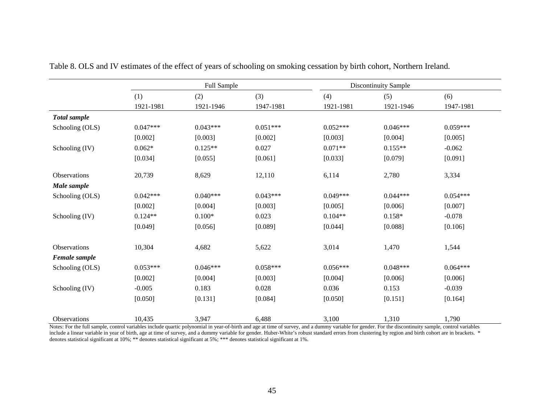|                     |            | Full Sample |            |            | Discontinuity Sample |            |
|---------------------|------------|-------------|------------|------------|----------------------|------------|
|                     | (1)        | (2)         | (3)        | (4)        | (5)                  | (6)        |
|                     | 1921-1981  | 1921-1946   | 1947-1981  | 1921-1981  | 1921-1946            | 1947-1981  |
| <b>Total</b> sample |            |             |            |            |                      |            |
| Schooling (OLS)     | $0.047***$ | $0.043***$  | $0.051***$ | $0.052***$ | $0.046***$           | $0.059***$ |
|                     | [0.002]    | [0.003]     | [0.002]    | [0.003]    | [0.004]              | [0.005]    |
| Schooling (IV)      | $0.062*$   | $0.125**$   | 0.027      | $0.071**$  | $0.155**$            | $-0.062$   |
|                     | [0.034]    | [0.055]     | [0.061]    | [0.033]    | [0.079]              | [0.091]    |
| Observations        | 20,739     | 8,629       | 12,110     | 6,114      | 2,780                | 3,334      |
| Male sample         |            |             |            |            |                      |            |
| Schooling (OLS)     | $0.042***$ | $0.040***$  | $0.043***$ | $0.049***$ | $0.044***$           | $0.054***$ |
|                     | [0.002]    | [0.004]     | [0.003]    | [0.005]    | [0.006]              | [0.007]    |
| Schooling (IV)      | $0.124**$  | $0.100*$    | 0.023      | $0.104**$  | $0.158*$             | $-0.078$   |
|                     | [0.049]    | [0.056]     | [0.089]    | [0.044]    | [0.088]              | [0.106]    |
| Observations        | 10,304     | 4,682       | 5,622      | 3,014      | 1,470                | 1,544      |
| Female sample       |            |             |            |            |                      |            |
| Schooling (OLS)     | $0.053***$ | $0.046***$  | $0.058***$ | $0.056***$ | $0.048***$           | $0.064***$ |
|                     | [0.002]    | [0.004]     | [0.003]    | [0.004]    | [0.006]              | [0.006]    |
| Schooling (IV)      | $-0.005$   | 0.183       | 0.028      | 0.036      | 0.153                | $-0.039$   |
|                     | [0.050]    | [0.131]     | [0.084]    | [0.050]    | [0.151]              | [0.164]    |
| Observations        | 10,435     | 3,947       | 6,488      | 3,100      | 1,310                | 1,790      |

Table 8. OLS and IV estimates of the effect of years of schooling on smoking cessation by birth cohort, Northern Ireland.

Notes: For the full sample, control variables include quartic polynomial in year-of-birth and age at time of survey, and a dummy variable for gender. For the discontinuity sample, control variables include a linear variable in year of birth, age at time of survey, and a dummy variable for gender. Huber-White's robust standard errors from clustering by region and birth cohort are in brackets. \* denotes statistical significant at 10%; \*\* denotes statistical significant at 5%; \*\*\* denotes statistical significant at 1%.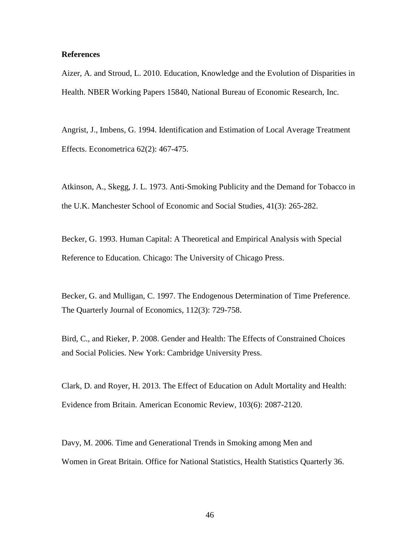## **References**

Aizer, A. and Stroud, L. 2010. Education, Knowledge and the Evolution of Disparities in Health. NBER Working Papers 15840, National Bureau of Economic Research, Inc.

Angrist, J., Imbens, G. 1994. Identification and Estimation of Local Average Treatment Effects. Econometrica 62(2): 467-475.

Atkinson, A., Skegg, J. L. 1973. Anti-Smoking Publicity and the Demand for Tobacco in the U.K. Manchester School of Economic and Social Studies, 41(3): 265-282.

Becker, G. 1993. Human Capital: A Theoretical and Empirical Analysis with Special Reference to Education. Chicago: The University of Chicago Press.

Becker, G. and Mulligan, C. 1997. The Endogenous Determination of Time Preference. The Quarterly Journal of Economics, 112(3): 729-758.

Bird, C., and Rieker, P. 2008. Gender and Health: The Effects of Constrained Choices and Social Policies. New York: Cambridge University Press.

Clark, D. and Royer, H. 2013. The Effect of Education on Adult Mortality and Health: Evidence from Britain. American Economic Review, 103(6): 2087-2120.

Davy, M. 2006. Time and Generational Trends in Smoking among Men and Women in Great Britain. Office for National Statistics, Health Statistics Quarterly 36.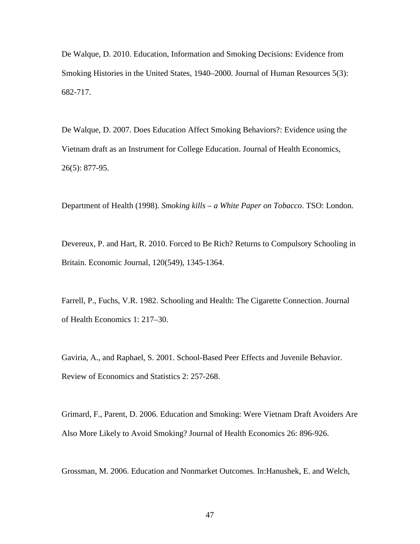De Walque, D. 2010. Education, Information and Smoking Decisions: Evidence from Smoking Histories in the United States, 1940–2000. Journal of Human Resources 5(3): 682-717.

De Walque, D. 2007. Does Education Affect Smoking Behaviors?: Evidence using the Vietnam draft as an Instrument for College Education. Journal of Health Economics, 26(5): 877-95.

Department of Health (1998). *Smoking kills – a White Paper on Tobacco*. TSO: London.

Devereux, P. and Hart, R. 2010. Forced to Be Rich? Returns to Compulsory Schooling in Britain. Economic Journal, 120(549), 1345-1364.

Farrell, P., Fuchs, V.R. 1982. Schooling and Health: The Cigarette Connection. Journal of Health Economics 1: 217–30.

Gaviria, A., and Raphael, S. 2001. School-Based Peer Effects and Juvenile Behavior. Review of Economics and Statistics 2: 257-268.

Grimard, F., Parent, D. 2006. Education and Smoking: Were Vietnam Draft Avoiders Are Also More Likely to Avoid Smoking? Journal of Health Economics 26: 896-926.

Grossman, M. 2006. Education and Nonmarket Outcomes. In:Hanushek, E. and Welch,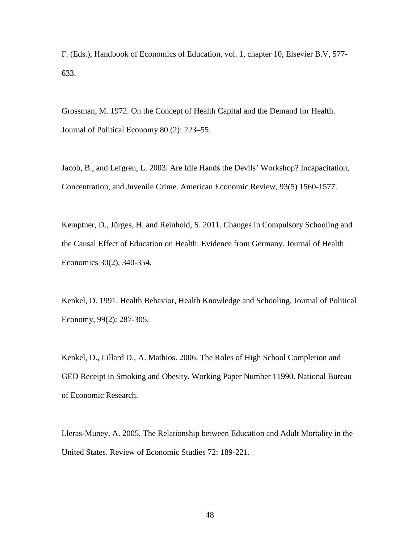F. (Eds.), Handbook of Economics of Education, vol. 1, chapter 10, Elsevier B.V, 577- 633.

Grossman, M. 1972. On the Concept of Health Capital and the Demand for Health. Journal of Political Economy 80 (2): 223–55.

Jacob, B., and Lefgren, L. 2003. Are Idle Hands the Devils' Workshop? Incapacitation, Concentration, and Juvenile Crime. American Economic Review, 93(5) 1560-1577.

Kemptner, D., Jürges, H. and Reinhold, S. 2011. Changes in Compulsory Schooling and the Causal Effect of Education on Health: Evidence from Germany. Journal of Health Economics 30(2), 340-354.

Kenkel, D. 1991. Health Behavior, Health Knowledge and Schooling. Journal of Political Economy, 99(2): 287-305.

Kenkel, D., Lillard D., A. Mathios. 2006. The Roles of High School Completion and GED Receipt in Smoking and Obesity. Working Paper Number 11990. National Bureau of Economic Research.

Lleras-Muney, A. 2005. The Relationship between Education and Adult Mortality in the United States. Review of Economic Studies 72: 189-221.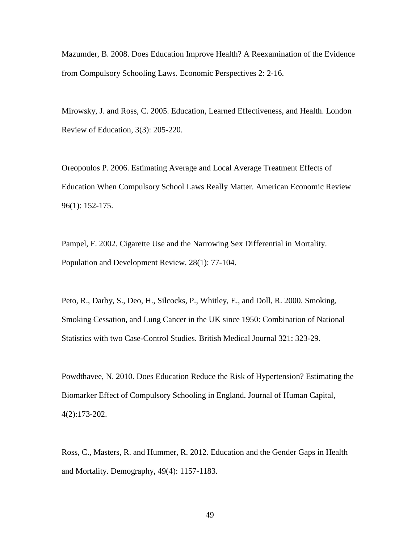Mazumder, B. 2008. Does Education Improve Health? A Reexamination of the Evidence from Compulsory Schooling Laws. Economic Perspectives 2: 2-16.

Mirowsky, J. and Ross, C. 2005. Education, Learned Effectiveness, and Health. London Review of Education, 3(3): 205-220.

Oreopoulos P. 2006. Estimating Average and Local Average Treatment Effects of Education When Compulsory School Laws Really Matter. American Economic Review 96(1): 152-175.

Pampel, F. 2002. Cigarette Use and the Narrowing Sex Differential in Mortality. Population and Development Review, 28(1): 77-104.

Peto, R., Darby, S., Deo, H., Silcocks, P., Whitley, E., and Doll, R. 2000. Smoking, Smoking Cessation, and Lung Cancer in the UK since 1950: Combination of National Statistics with two Case-Control Studies. British Medical Journal 321: 323-29.

Powdthavee, N. 2010. Does Education Reduce the Risk of Hypertension? Estimating the Biomarker Effect of Compulsory Schooling in England. Journal of Human Capital, 4(2):173-202.

Ross, C., Masters, R. and Hummer, R. 2012. Education and the Gender Gaps in Health and Mortality. Demography, 49(4): 1157-1183.